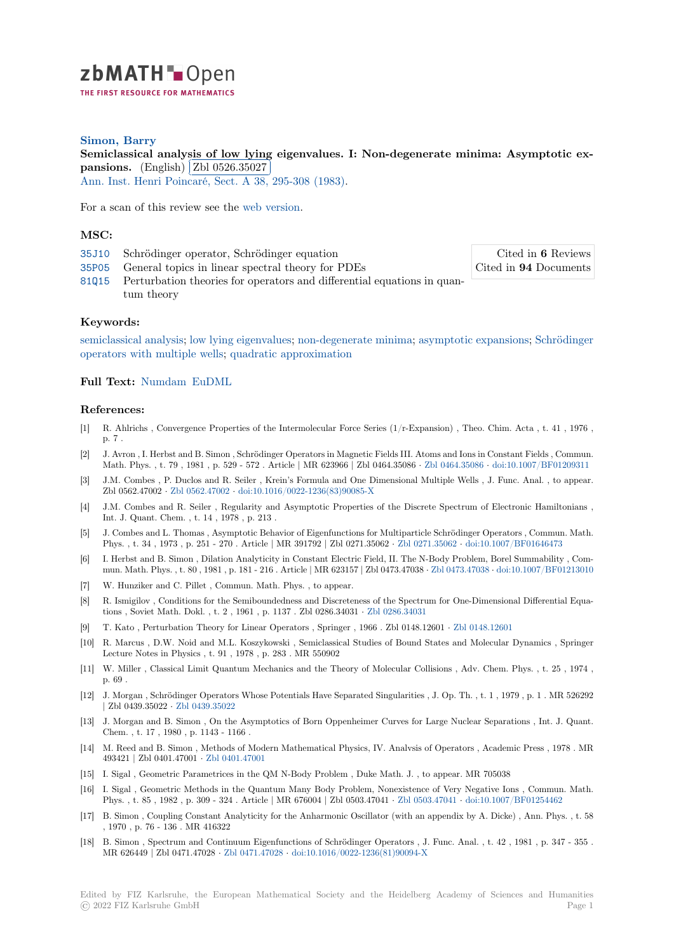

## **Simon, Barry**

[S](https://zbmath.org/)emiclassical analysis of low lying eigenvalues. I: Non-degenerate minima: Asymptotic ex**pansions.** (English) **Zbl** 0526.35027

**Pansions:** (English) **(En 6020.00021)**<br>Ann. Inst. Henri Poincaré, Sect. A 38, 295-308 (1983).

[For a scan of this review see the](https://zbmath.org/0526.35027) web version.

### **[MSC:](https://zbmath.org/journals/?q=se:312)**

- 35J10 Schrödinger operator, Schrödinger equation 35P05 General topics in linear [spectral the](https://zbmath.org/0526.35027)ory for PDEs
- 81Q15 Perturbation theories for operators and differential equations in quantum theory

# **[Keyw](https://zbmath.org/classification/?q=cc:35P05)ords:**

[semicl](https://zbmath.org/classification/?q=cc:81Q15)assical analysis; low lying eigenvalues; non-degenerate minima; asymptotic expansions; Schrödinger operators with multiple wells; quadratic approximation

#### **Full Text:** Numdam EuDML

### **[References:](https://zbmath.org/?q=ut:Schr%C3%B6dinger+operators+with+multiple+wells)**

- [1] R. Ahlric[hs , Converg](http://www.numdam.org/item?id=AIHPA_1983__38_3_295_0)[ence Prope](https://eudml.org/doc/76200)rties of the Intermolecular Force Series (1/r-Expansion) , Theo. Chim. Acta , t. 41 , 1976 , p. 7 .
- [2] J. Avron , I. Herbst and B. Simon , Schrödinger Operators in Magnetic Fields III. Atoms and Ions in Constant Fields , Commun. Math. Phys. , t. 79 , 1981 , p. 529 - 572 . Article | MR 623966 | Zbl 0464.35086 *·* Zbl 0464.35086 *·* doi:10.1007/BF01209311
- [3] J.M. Combes , P. Duclos and R. Seiler , Krein's Formula and One Dimensional Multiple Wells , J. Func. Anal. , to appear. Zbl 0562.47002 *·* Zbl 0562.47002 *·* doi:10.1016/0022-1236(83)90085-X
- [4] J.M. Combes and R. Seiler , Regularity and Asymptotic Properties of the Discrete Spectrum of Electronic Hamiltonians , Int. J. Quant. Chem. , t. 14 , 1978 , p. 213 .
- [5] J. Combes and L. Thomas , Asymptotic Behavior of Eigenfunctions for Multiparticle Schrödinger Operators , Commun. Math. Phys. , t. 34 , 19[73 , p. 251 - 270](https://zbmath.org/0562.47002). [Article | MR 391792 | Zbl 0271.35](https://dx.doi.org/10.1016/0022-1236(83)90085-X)062 *·* Zbl 0271.35062 *·* doi:10.1007/BF01646473
- [6] I. Herbst and B. Simon , Dilation Analyticity in Constant Electric Field, II. The N-Body Problem, Borel Summability , Commun. Math. Phys. , t. 80 , 1981 , p. 181 - 216 . Article | MR 623157 | Zbl 0473.47038 *·* Zbl 0473.47038 *·* doi:10.1007/BF01213010
- [7] W. Hunziker and C. Pillet , Commun. Math. Phys. , to appear.
- [8] R. Ismigilov , Conditions for the Semiboundedness and Discreteness of the [Spectrum for O](https://zbmath.org/0271.35062)n[e-Dimensional Differentia](https://dx.doi.org/10.1007/BF01646473)l Equations , Soviet Math. Dokl. , t. 2 , 1961 , p. 1137 . Zbl 0286.34031 *·* Zbl 0286.34031
- [9] T. Kato , Perturbation Theory for Linear Operators , Springer , 1966 . Zbl 0148.12601 *·* [Zbl 0148.](https://zbmath.org/0473.47038)1[2601](https://dx.doi.org/10.1007/BF01213010)
- [10] R. Marcus , D.W. Noid and M.L. Koszykowski , Semiclassical Studies of Bound States and Molecular Dynamics , Springer Lecture Notes in Physics , t. 91 , 1978 , p. 283 . MR 550902
- [11] W. Miller , Classical Limit Quantum Mechanics and the Theoryo[f Molecular Col](https://zbmath.org/0286.34031)lisions , Adv. Chem. Phys. , t. 25 , 1974 , p. 69 .
- [12] J. Morgan , Schrödinger Operators Whose Potentials Have Separated Singularities , J. Op. Th. , t. 1 , 1979 , p. 1 . MR 526292 | Zbl 0439.35022 *·* Zbl 0439.35022
- [13] J. Morgan and B. Simon , On the Asymptotics of Born Oppenheimer Curves for Large Nuclear Separations , Int. J. Quant. Chem. , t. 17 , 1980 , p. 1143 - 1166 .
- [14] M. Reed and B. Simon , Methods of Modern Mathematical Physics, IV. Analvsis of Operators , Academic Press , 1978 . MR 493421 | Zbl 0401.47001 *·* [Zbl 040](https://zbmath.org/0439.35022)1.47001
- [15] I. Sigal , Geometric Parametrices in the QM N-Body Problem , Duke Math. J. , to appear. MR 705038
- [16] I. Sigal , Geometric Methods in the Quantum Many Body Problem, Nonexistence of Very Negative Ions , Commun. Math. Phys. , t. 85 , 1982 , p. 309 - 324 . Article | MR 676004 | Zbl 0503.47041 *·* Zbl 0503.47041 *·* doi:10.1007/BF01254462
- [17] B. Simon , Coupling Cons[tant Analyticity](https://zbmath.org/0401.47001) for the Anharmonic Oscillator (with an appendix by A. Dicke) , Ann. Phys. , t. 58 , 1970 , p. 76 - 136 . MR 416322
- [18] B. Simon , Spectrum and Continuum Eigenfunctions of Schrödinger Operators , J. Func. Anal. , t. 42 , 1981 , p. 347 355 . MR 626449 | Zbl 0471.47028 *·* Zbl 0471.47028 *·* doi:10.1016/0022-1236(81)[90094-X](https://zbmath.org/0503.47041)

Cited in **6** Reviews Cited in **94** Documents